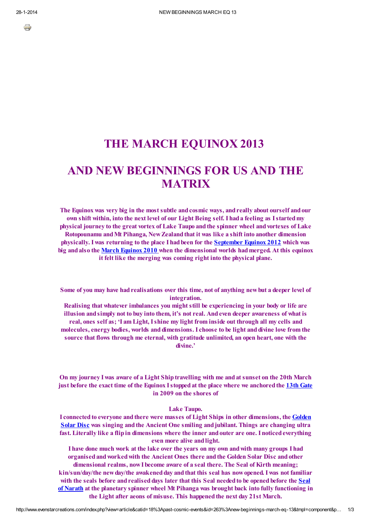÷

## THE MARCH EQUINOX 2013

# AND NEW BEGINNINGS FOR US AND THE **MATRIX**

The Equinox was very big in the most subtle and cosmic ways, and really about ourself and our own shift within, into the next level of our Light Being self. I hada feeling as Istartedmy physical journey to the great vortex of Lake Taupo and the spinner wheel and vortexes of Lake Rotopounamu andMt Pihanga, NewZealandthat it was like a shift into another dimension physically. I was returning to the place I hadbeen for the [September](http://www.evenstarcreations.com/index.php?option=com_content&view=article&id=246:axis-shift-sept-equinox-2012&catid=18&Itemid=197) Equinox 2012 which was big andalso the March [Equinox](http://www.evenstarcreations.com/index.php?option=com_content&view=article&id=165:march-equinox-2010&catid=18&Itemid=127) 2010 when the dimensional worlds hadmerged. At this equinox it felt like the merging was coming right into the physical plane.

Some of you may have had realisations over this time, not of anything new but a deeper level of integration.

Realising that whatever imbalances you might still be experiencing in your body or life are illusion andsimply not to buy into them, it's not real. Andeven deeper awareness of what is real, ones self as; 'I am Light, Ishine my light from inside out through all my cells and molecules, energy bodies, worlds and dimensions. I choose to be light and divine love from the source that flows through me eternal, with gratitude unlimited, an open heart, one with the divine.'

On my journey I was aware of a Light Shiptravelling with me andat sunset on the 20th March just before the exact time of the Equinox I stopped at the place where we anchored the [13th](http://www.evenstarcreations.com/index.php?option=com_content&view=article&id=99:gates-13&catid=19&Itemid=63) Gate in 2009 on the shores of

Lake Taupo.

I connected to everyone and there were masses of Light Ships in other dimensions, the Golden Solar Disc was singing and the Ancient One smiling and jubilant. Things are changing ultra fast. Literally like a flip in dimensions where the inner and outer are one. I noticed everything even more alive and light.

I have done much work at the lake over the years on my own andwith many groups I had organisedandworkedwith the Ancient Ones there andthe Golden Solar Disc andother dimensional realms, nowI become aware of a seal there. The Seal of Kirth meaning; kin/sun/day/the new day/the awakened day and that this seal has now opened. I was not familiar with the seals before and realised days later that this Seal needed to be opened before the Seal of Narath at the planetary spinner wheel Mt Pihanga was brought back into fully functioning in the Light after aeons of misuse. This happened the next day 21st March.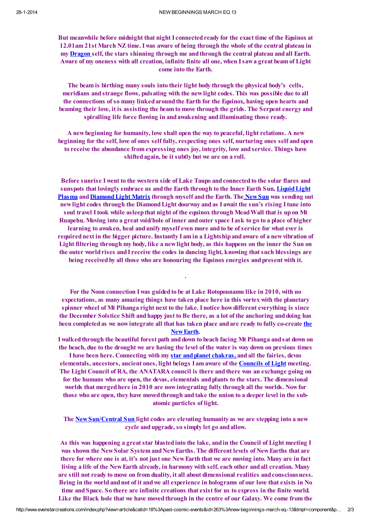But meanwhile before midnight that night I connected ready for the exact time of the Equinox at 12.01am 21st March NZ time. I was aware of being through the whole of the central plateau in my [Dragon](http://www.evenstarcreations.com/index.php?option=com_content&view=article&id=72:dragon&catid=20&Itemid=46) self, the stars shinning through me and through the central plateau and all Earth. Aware of my oneness with all creation, infinite finite all one, when Isawa great beam of Light come into the Earth.

The beam is birthing many souls into their light body through the physical body's cells, meridians andstrange flows, pulsating with the newlight codes. This was possible due to all the connections of so many linked around the Earth for the Equinox, having open hearts and beaming their love, it is assisting the beam to move through the grids. The Serpent energy and spiralling life force flowing in and awakening and illuminating those ready.

A newbeginning for humanity, love shall open the way to peaceful, light relations. A new beginning for the self, love of ones self fully, respecting ones self, nurturing ones self andopen to receive the abundance from expressing ones joy, integrity, love andservice. Things have shifted again, be it subtly but we are on a roll.

Before sunrise I went to the western side of Lake Taupo and connected to the solar flares and sunspots that lovingly embrace us and the Earth through to the Inner Earth Sun, Liquid Light Plasma and Diamond Light Matrix through myself and the Earth. The New Sun was sending out newlight codes through the DiamondLight doorway andas I await the sun's rising Itune into soul travel I took while asleep that night of the equinox through Mead Wall that is up on Mt Ruapehu. Moving into a great void/hole of inner andouter space I ask to go to a place of higher learning to awaken, heal and unify myself even more and to be of service for what ever is required next in the bigger picture. Instantly I am in a Lightship and aware of a new vibration of Light filtering through my body, like a newlight body, as this happens on the inner the Sun on the outer worldrises andI receive the codes in dancing light, knowing that such blessings are being received by all those who are honouring the Equinox energies and present with it.

For the Noon connection I was guided to be at Lake Rotopounamu like in 2010, with no expectations, as many amazing things have taken place here in this vortex with the planetary spinner wheel of Mt Pihanga right next to the lake. I notice howdifferent everything is since the December Solstice Shift andhappy just to Be there, as a lot of the anchoring anddoing has been completedas we nowintegrate all that has taken place andare ready to fully co-create the [NewEarth.](http://www.evenstarcreations.com/index.php?option=com_content&view=article&id=109:new-earth&catid=25&Itemid=16)

.

I walkedthrough the beautiful forest path anddown to beach facing Mt Pihanga andsat down on the beach, due to the drought we are having the level of the water is way down on previous times

I have been here. Connecting with my star and planet chakras, and all the fairies, devas elementals, ancestors, ancient ones, light beings I am aware of the [Councils](http://www.evenstarcreations.com/index.php?option=com_content&view=article&id=8%3Acouncils-of-light&catid=6&Itemid=18) of Light meeting. The Light Council of RA, the ANATARA council is there and there was an exchange going on for the humans who are open, the devas, elementals andplants to the stars. The dimensional worlds that merged here in 2010 are now integrating fully through all the worlds. Now for those who are open, they have moved through and take the union to a deeper level in the subatomic particles of light.

The [NewSun/Central](http://www.evenstarcreations.com/index.php?option=com_content&view=article&id=260:the-new-sun&catid=17&Itemid=209) Sun light codes are elevating humanity as we are stepping into a new cycle andupgrade, so simply let go andallow.

As this was happening a great star blastedinto the lake, andin the Council of Light meeting I was shown the New Solar System and New Earths. The different levels of New Earths that are there for where one is at, it's not just one NewEarth that we are moving into. Many are in fact living a life of the New Earth already, in harmony with self, each other and all creation. Many are still not ready to move on from duality, it all about dimensional realities andconsciousness. Being in the world and not of it and we all experience in holograms of our love that exists in No time and Space. So there are infinite creations that exist for us to express in the finite world. Like the Black hole that we have moved through in the centre of our Galaxy. We come from the